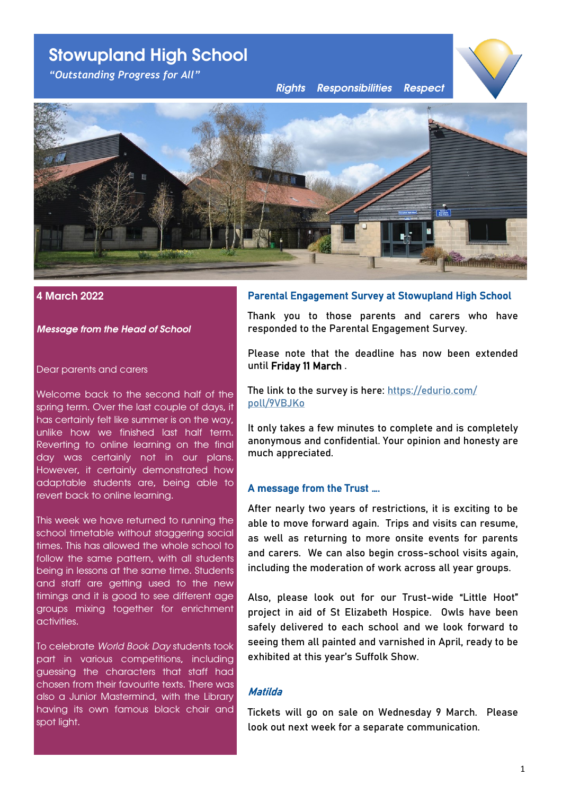# **Stowupland High School**

*"Outstanding Progress for All"*

*Rights Responsibilities Respect*





# **4 March 2022**

*Message from the Head of School*

#### Dear parents and carers

Welcome back to the second half of the spring term. Over the last couple of days, it has certainly felt like summer is on the way, unlike how we finished last half term. Reverting to online learning on the final day was certainly not in our plans. However, it certainly demonstrated how adaptable students are, being able to revert back to online learning.

This week we have returned to running the school timetable without staggering social times. This has allowed the whole school to follow the same pattern, with all students being in lessons at the same time. Students and staff are getting used to the new timings and it is good to see different age groups mixing together for enrichment activities.

To celebrate *World Book Day* students took part in various competitions, including guessing the characters that staff had chosen from their favourite texts. There was also a Junior Mastermind, with the Library having its own famous black chair and spot light.

# Parental Engagement Survey at Stowupland High School

Thank you to those parents and carers who have responded to the Parental Engagement Survey.

Please note that the deadline has now been extended until Friday 11 March .

The link to the survey is here: [https://edurio.com/](https://edurio.com/poll/9VBJKo) [poll/9VBJKo](https://edurio.com/poll/9VBJKo)

It only takes a few minutes to complete and is completely anonymous and confidential. Your opinion and honesty are much appreciated.

#### A message from the Trust ….

After nearly two years of restrictions, it is exciting to be able to move forward again. Trips and visits can resume, as well as returning to more onsite events for parents and carers. We can also begin cross-school visits again, including the moderation of work across all year groups.

Also, please look out for our Trust-wide "Little Hoot" project in aid of St Elizabeth Hospice. Owls have been safely delivered to each school and we look forward to seeing them all painted and varnished in April, ready to be exhibited at this year's Suffolk Show.

#### Matilda

Tickets will go on sale on Wednesday 9 March. Please look out next week for a separate communication.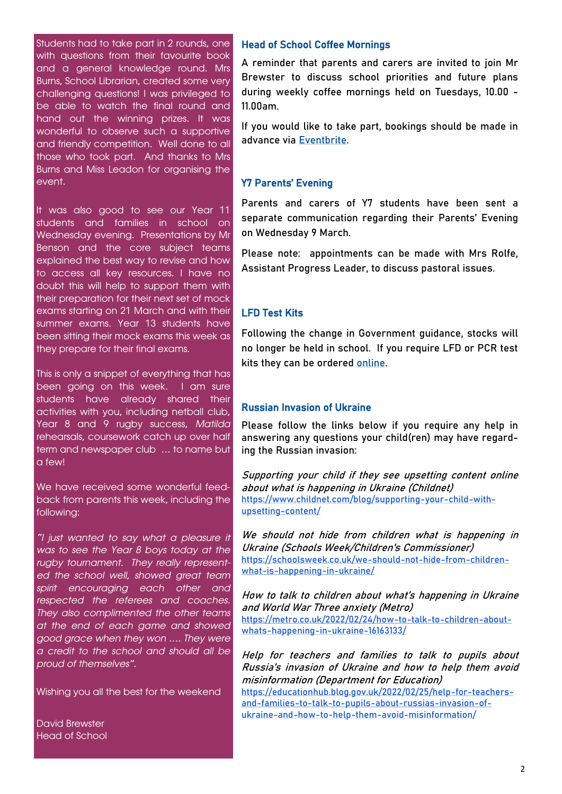Students had to take part in 2 rounds, one with questions from their favourite book and a general knowledge round. Mrs Burns, School Librarian, created some very challenging questions! I was privileged to be able to watch the final round and hand out the winning prizes. It was wonderful to observe such a supportive and friendly competition. Well done to all those who took part. And thanks to Mrs Burns and Miss Leadon for organising the event.

It was also good to see our Year 11 students and families in school on Wednesday evening. Presentations by Mr Benson and the core subject teams explained the best way to revise and how to access all key resources. I have no doubt this will help to support them with their preparation for their next set of mock exams starting on 21 March and with their summer exams. Year 13 students have been sitting their mock exams this week as they prepare for their final exams.

This is only a snippet of everything that has been going on this week. I am sure students have already shared their activities with you, including netball club, Year 8 and 9 rugby success, *Matilda*  rehearsals, coursework catch up over half term and newspaper club … to name but  $C = \frac{1}{2}$ 

We have received some wonderful feedback from parents this week, including the following:

*"I just wanted to say what a pleasure it was to see the Year 8 boys today at the rugby tournament. They really represented the school well, showed great team spirit encouraging each other and respected the referees and coaches. They also complimented the other teams at the end of each game and showed good grace when they won …. They were a credit to the school and should all be proud of themselves".*

Wishing you all the best for the weekend

David Brewster Head of School

# Head of School Coffee Mornings

A reminder that parents and carers are invited to join Mr Brewster to discuss school priorities and future plans during weekly coffee mornings held on Tuesdays, 10.00 - 11.00am.

If you would like to take part, bookings should be made in advance via [Eventbrite.](http://stowuplandhighschool.eventbrite.com/) 

#### Y7 Parents' Evening

Parents and carers of Y7 students have been sent a separate communication regarding their Parents' Evening on Wednesday 9 March.

Please note: appointments can be made with Mrs Rolfe, Assistant Progress Leader, to discuss pastoral issues.

#### LFD Test Kits

Following the change in Government guidance, stocks will no longer be held in school. If you require LFD or PCR test kits they can be ordered [online.](https://www.gov.uk/order-coronavirus-rapid-lateral-flow-tests)

# Russian Invasion of Ukraine

Please follow the links below if you require any help in answering any questions your child(ren) may have regarding the Russian invasion:

Supporting your child if they see upsetting content online about what is happening in Ukraine (Childnet) [https://www.childnet.com/blog/supporting](https://email.kjbm.safeguardinginschools.co.uk/c/eJyFkMFuwyAMhp-muUyJgISEHDhs2ibtvAeIHHATVgIIyKK-_WjXw26TLNmyP_u3jRsYO-VrQPl2C1-iB60g5QrvFaMlo50QlPaUVKscOCd8FsDOlCoytFrTYR7bEXBQrehElUzGR9fAKRGcVVauOYd0ap9P7L3YcRyNWo3VDnOj_FZSs_VLcWkPwcds3FJf_R7rO1UfJq_1HhLme0)-your-child-with[upsetting](https://email.kjbm.safeguardinginschools.co.uk/c/eJyFkMFuwyAMhp-muUyJgISEHDhs2ibtvAeIHHATVgIIyKK-_WjXw26TLNmyP_u3jRsYO-VrQPl2C1-iB60g5QrvFaMlo50QlPaUVKscOCd8FsDOlCoytFrTYR7bEXBQrehElUzGR9fAKRGcVVauOYd0ap9P7L3YcRyNWo3VDnOj_FZSs_VLcWkPwcds3FJf_R7rO1UfJq_1HhLme0)-content/

We should not hide from children what is happening in Ukraine (Schools Week/Children's Commissioner) [https://schoolsweek.co.uk/we](https://email.kjbm.safeguardinginschools.co.uk/c/eJyFUEFuxCAMfM3mUrEKBEj2wKFVW6nnPmDlYO9Ck0AEpFF_X7bdQ2-VfLDsGc94aAE_n8vXSubl1j6lCGghl4Z-Nh6N4HIYONe8bZzpejWikJqsGGEUXKACedG260SrVS-b7AvdWb3i7aBEMxtXypoP3eNBvNbK1sU4551oOtp43KY624llF7cZWYiFOY_ELikuzDo_Y6LAdgeF-c)-should-not-hide-from-childrenwhat-is-[happening](https://email.kjbm.safeguardinginschools.co.uk/c/eJyFUEFuxCAMfM3mUrEKBEj2wKFVW6nnPmDlYO9Ck0AEpFF_X7bdQ2-VfLDsGc94aAE_n8vXSubl1j6lCGghl4Z-Nh6N4HIYONe8bZzpejWikJqsGGEUXKACedG260SrVS-b7AvdWb3i7aBEMxtXypoP3eNBvNbK1sU4551oOtp43KY624llF7cZWYiFOY_ELikuzDo_Y6LAdgeF-c)-in-ukraine/

How to talk to children about what's happening in Ukraine and World War Three anxiety (Metro) [https://metro.co.uk/2022/02/24/how](https://email.kjbm.safeguardinginschools.co.uk/c/eJyFUMtuxCAM_JrkUrHikZDkwKFVW6nnfkDkgLuwSSAC0tX-fUl3D71Vsmwsj83M4ApuGfNtQ_V2PF9iAKMh5Rp_J84ozpq-Z0wyWlslp46ZFjsjmRjQ6L6jdOCmm7iWQre6Ti7jY6trGe1bXi_K5rylSjxX_L3EijmGkw6nfS4dp5yXQo_Em5JsuJIcSIZlPqq2bjERPYEp7JlcLe)-to-talk-to-children-aboutwhats-[happening](https://email.kjbm.safeguardinginschools.co.uk/c/eJyFUMtuxCAM_JrkUrHikZDkwKFVW6nnfkDkgLuwSSAC0tX-fUl3D71Vsmwsj83M4ApuGfNtQ_V2PF9iAKMh5Rp_J84ozpq-Z0wyWlslp46ZFjsjmRjQ6L6jdOCmm7iWQre6Ti7jY6trGe1bXi_K5rylSjxX_L3EijmGkw6nfS4dp5yXQo_Em5JsuJIcSIZlPqq2bjERPYEp7JlcLe)-in-ukraine-16163133/

Help for teachers and families to talk to pupils about Russia's invasion of Ukraine and how to help them avoid misinformation (Department for Education) [https://educationhub.blog.gov.uk/2022/02/25/help](https://email.kjbm.safeguardinginschools.co.uk/c/eJyFUcuO5CAM_JrOZUQE5NHJgcOudlfa835AywkmeEIgAtKt-fslPX2Y20iWjeSyiyrjBuRu-WNH9ft8_owB9AwpV_jskFZStMMgRC94ZVXT9Xrgummlkag7ya9yakbTmslMAs1QJcr4mrp2gg-drJyyOe_p0vy4yD8lUB8zZAreHlM9ubDUS7jXx1pakktZCj-T7Eqy6HZmQmQZYb)-for-teachersand-families-to-talk-to-pupils-about-russias-[invasion](https://email.kjbm.safeguardinginschools.co.uk/c/eJyFUcuO5CAM_JrOZUQE5NHJgcOudlfa835AywkmeEIgAtKt-fslPX2Y20iWjeSyiyrjBuRu-WNH9ft8_owB9AwpV_jskFZStMMgRC94ZVXT9Xrgummlkag7ya9yakbTmslMAs1QJcr4mrp2gg-drJyyOe_p0vy4yD8lUB8zZAreHlM9ubDUS7jXx1pakktZCj-T7Eqy6HZmQmQZYb)-ofukraine-and-how-to-help-them-avoid-[misinformation/](https://email.kjbm.safeguardinginschools.co.uk/c/eJyFUcuO5CAM_JrOZUQE5NHJgcOudlfa835AywkmeEIgAtKt-fslPX2Y20iWjeSyiyrjBuRu-WNH9ft8_owB9AwpV_jskFZStMMgRC94ZVXT9Xrgummlkag7ya9yakbTmslMAs1QJcr4mrp2gg-drJyyOe_p0vy4yD8lUB8zZAreHlM9ubDUS7jXx1pakktZCj-T7Eqy6HZmQmQZYb)